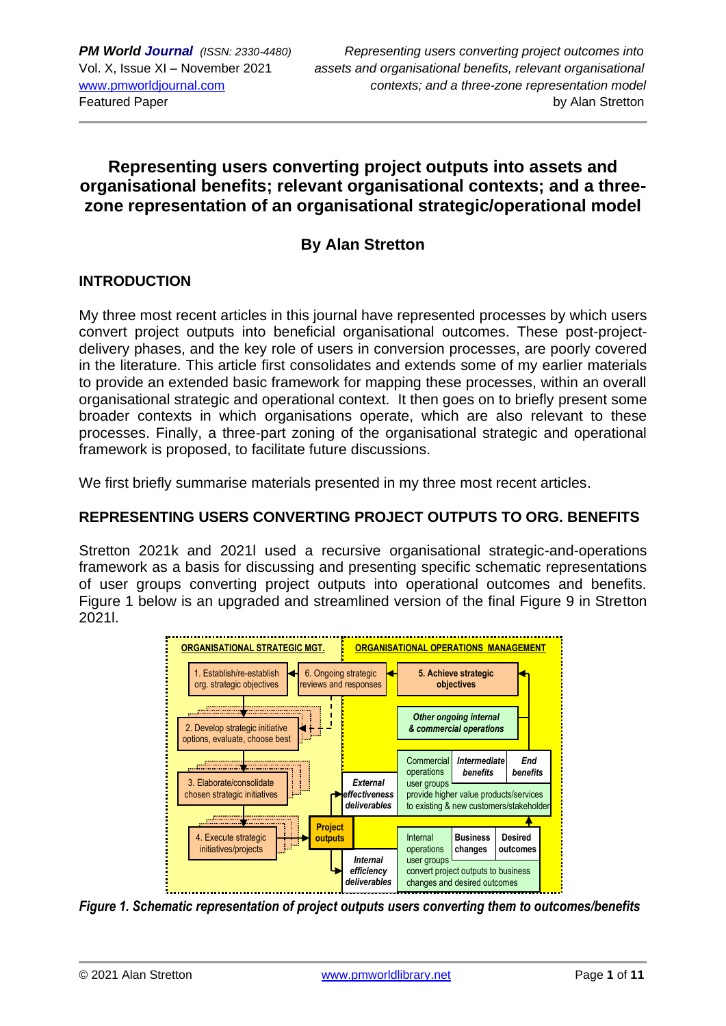## **Representing users converting project outputs into assets and organisational benefits; relevant organisational contexts; and a threezone representation of an organisational strategic/operational model**

## **By Alan Stretton**

## **INTRODUCTION**

My three most recent articles in this journal have represented processes by which users convert project outputs into beneficial organisational outcomes. These post-projectdelivery phases, and the key role of users in conversion processes, are poorly covered in the literature. This article first consolidates and extends some of my earlier materials to provide an extended basic framework for mapping these processes, within an overall organisational strategic and operational context. It then goes on to briefly present some broader contexts in which organisations operate, which are also relevant to these processes. Finally, a three-part zoning of the organisational strategic and operational framework is proposed, to facilitate future discussions.

We first briefly summarise materials presented in my three most recent articles.

## **REPRESENTING USERS CONVERTING PROJECT OUTPUTS TO ORG. BENEFITS**

Stretton 2021k and 2021l used a recursive organisational strategic-and-operations framework as a basis for discussing and presenting specific schematic representations of user groups converting project outputs into operational outcomes and benefits. Figure 1 below is an upgraded and streamlined version of the final Figure 9 in Stretton 2021l.



*Figure 1. Schematic representation of project outputs users converting them to outcomes/benefits*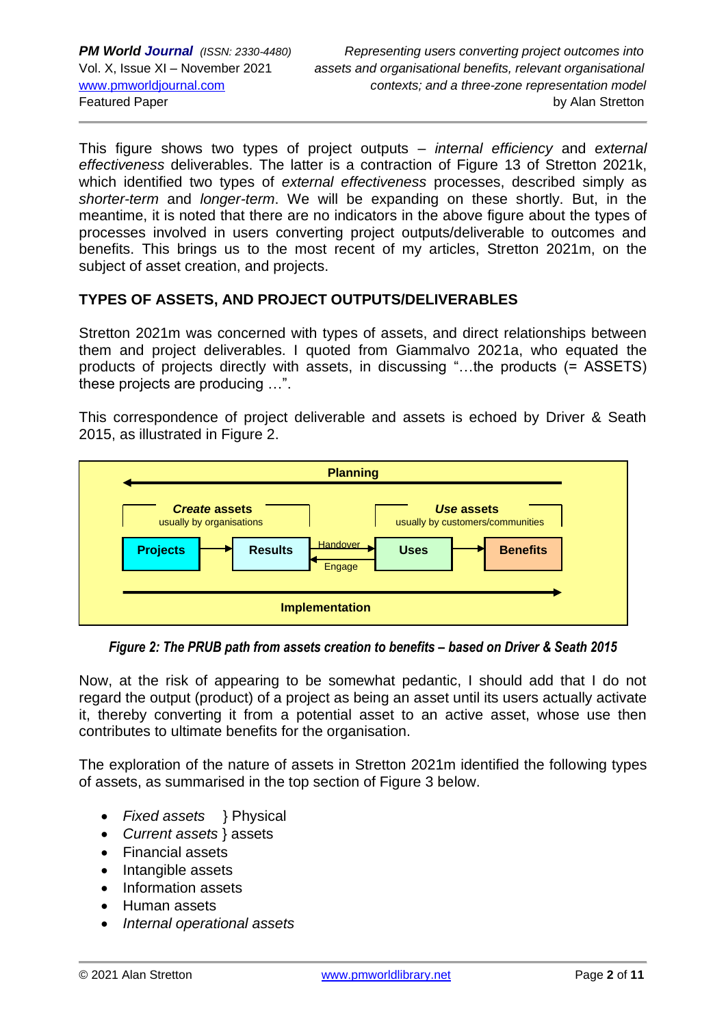This figure shows two types of project outputs – *internal efficiency* and *external effectiveness* deliverables. The latter is a contraction of Figure 13 of Stretton 2021k, which identified two types of *external effectiveness* processes, described simply as *shorter-term* and *longer-term*. We will be expanding on these shortly. But, in the meantime, it is noted that there are no indicators in the above figure about the types of processes involved in users converting project outputs/deliverable to outcomes and benefits. This brings us to the most recent of my articles, Stretton 2021m, on the subject of asset creation, and projects.

## **TYPES OF ASSETS, AND PROJECT OUTPUTS/DELIVERABLES**

Stretton 2021m was concerned with types of assets, and direct relationships between them and project deliverables. I quoted from Giammalvo 2021a, who equated the products of projects directly with assets, in discussing "…the products (= ASSETS) these projects are producing …".

This correspondence of project deliverable and assets is echoed by Driver & Seath 2015, as illustrated in Figure 2.



*Figure 2: The PRUB path from assets creation to benefits – based on Driver & Seath 2015*

Now, at the risk of appearing to be somewhat pedantic, I should add that I do not regard the output (product) of a project as being an asset until its users actually activate it, thereby converting it from a potential asset to an active asset, whose use then contributes to ultimate benefits for the organisation.

The exploration of the nature of assets in Stretton 2021m identified the following types of assets, as summarised in the top section of Figure 3 below.

- *Fixed assets* } Physical
- *Current assets* } assets
- Financial assets
- Intangible assets
- Information assets
- Human assets
- *Internal operational assets*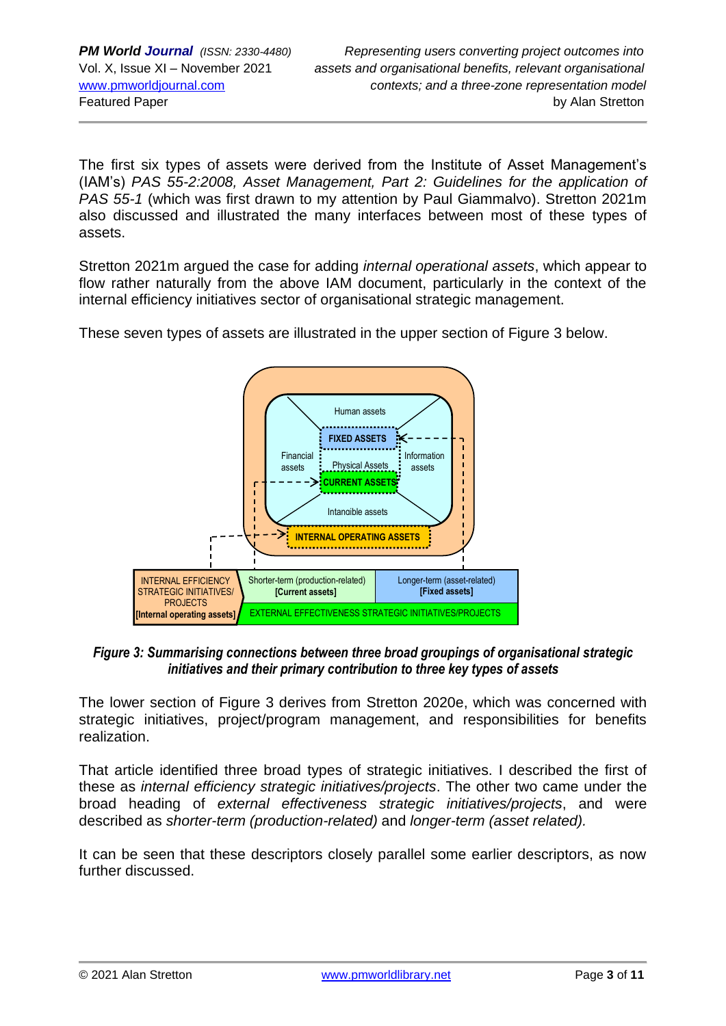The first six types of assets were derived from the Institute of Asset Management's (IAM's) *PAS 55-2:2008, Asset Management, Part 2: Guidelines for the application of PAS 55-1* (which was first drawn to my attention by Paul Giammalvo). Stretton 2021m also discussed and illustrated the many interfaces between most of these types of assets.

Stretton 2021m argued the case for adding *internal operational assets*, which appear to flow rather naturally from the above IAM document, particularly in the context of the internal efficiency initiatives sector of organisational strategic management.

These seven types of assets are illustrated in the upper section of Figure 3 below.



Figure 3: Summarising connections between three broad groupings of organisational strategic *initiatives and their primary contribution to three key types of assets*

The lower section of Figure 3 derives from Stretton 2020e, which was concerned with strategic initiatives, project/program management, and responsibilities for benefits realization.

That article identified three broad types of strategic initiatives. I described the first of these as *internal efficiency strategic initiatives/projects*. The other two came under the broad heading of *external effectiveness strategic initiatives/projects*, and were described as *shorter-term (production-related)* and *longer-term (asset related).*

It can be seen that these descriptors closely parallel some earlier descriptors, as now further discussed.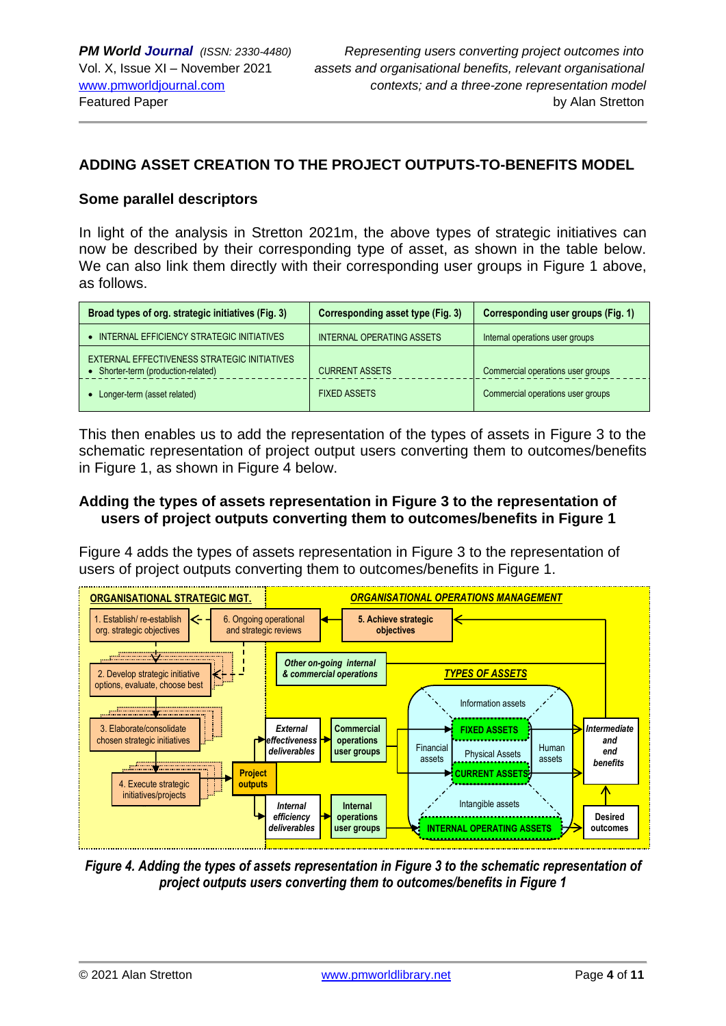### **ADDING ASSET CREATION TO THE PROJECT OUTPUTS-TO-BENEFITS MODEL**

#### **Some parallel descriptors**

In light of the analysis in Stretton 2021m, the above types of strategic initiatives can now be described by their corresponding type of asset, as shown in the table below. We can also link them directly with their corresponding user groups in Figure 1 above, as follows.

| Broad types of org. strategic initiatives (Fig. 3)                                | Corresponding asset type (Fig. 3) | Corresponding user groups (Fig. 1) |
|-----------------------------------------------------------------------------------|-----------------------------------|------------------------------------|
| INTERNAL EFFICIENCY STRATEGIC INITIATIVES                                         | INTERNAL OPERATING ASSETS         | Internal operations user groups    |
| EXTERNAL EFFECTIVENESS STRATEGIC INITIATIVES<br>Shorter-term (production-related) | <b>CURRENT ASSETS</b>             | Commercial operations user groups  |
| Longer-term (asset related)                                                       | <b>FIXED ASSETS</b>               | Commercial operations user groups  |

This then enables us to add the representation of the types of assets in Figure 3 to the schematic representation of project output users converting them to outcomes/benefits in Figure 1, as shown in Figure 4 below.

### **Adding the types of assets representation in Figure 3 to the representation of users of project outputs converting them to outcomes/benefits in Figure 1**

Figure 4 adds the types of assets representation in Figure 3 to the representation of users of project outputs converting them to outcomes/benefits in Figure 1.



*Figure 4. Adding the types of assets representation in Figure 3 to the schematic representation of project outputs users converting them to outcomes/benefits in Figure 1*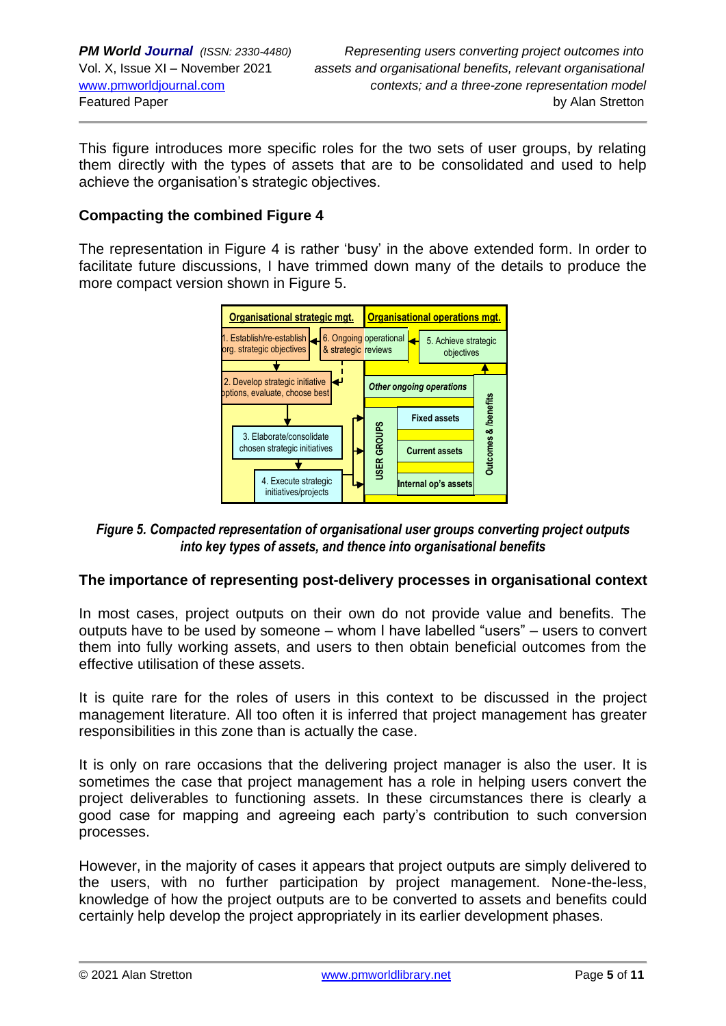This figure introduces more specific roles for the two sets of user groups, by relating them directly with the types of assets that are to be consolidated and used to help achieve the organisation's strategic objectives.

## **Compacting the combined Figure 4**

The representation in Figure 4 is rather 'busy' in the above extended form. In order to facilitate future discussions, I have trimmed down many of the details to produce the more compact version shown in Figure 5.



*Figure 5. Compacted representation of organisational user groups converting project outputs into key types of assets, and thence into organisational benefits*

## **The importance of representing post-delivery processes in organisational context**

In most cases, project outputs on their own do not provide value and benefits. The outputs have to be used by someone – whom I have labelled "users" – users to convert them into fully working assets, and users to then obtain beneficial outcomes from the effective utilisation of these assets.

It is quite rare for the roles of users in this context to be discussed in the project management literature. All too often it is inferred that project management has greater responsibilities in this zone than is actually the case.

It is only on rare occasions that the delivering project manager is also the user. It is sometimes the case that project management has a role in helping users convert the project deliverables to functioning assets. In these circumstances there is clearly a good case for mapping and agreeing each party's contribution to such conversion processes.

However, in the majority of cases it appears that project outputs are simply delivered to the users, with no further participation by project management. None-the-less, knowledge of how the project outputs are to be converted to assets and benefits could certainly help develop the project appropriately in its earlier development phases.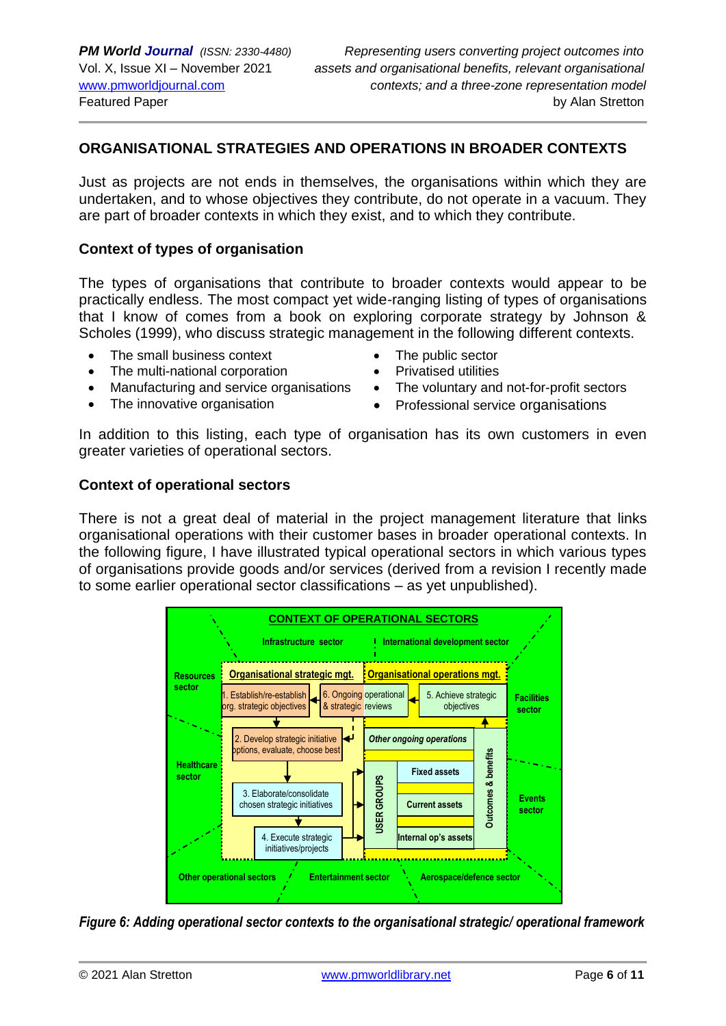## **ORGANISATIONAL STRATEGIES AND OPERATIONS IN BROADER CONTEXTS**

Just as projects are not ends in themselves, the organisations within which they are undertaken, and to whose objectives they contribute, do not operate in a vacuum. They are part of broader contexts in which they exist, and to which they contribute.

#### **Context of types of organisation**

The types of organisations that contribute to broader contexts would appear to be practically endless. The most compact yet wide-ranging listing of types of organisations that I know of comes from a book on exploring corporate strategy by Johnson & Scholes (1999), who discuss strategic management in the following different contexts.

- The small business context
- The multi-national corporation
- Manufacturing and service organisations
- The innovative organisation
- The public sector
- Privatised utilities
- The voluntary and not-for-profit sectors
- Professional service organisations

In addition to this listing, each type of organisation has its own customers in even greater varieties of operational sectors.

#### **Context of operational sectors**

There is not a great deal of material in the project management literature that links organisational operations with their customer bases in broader operational contexts. In the following figure, I have illustrated typical operational sectors in which various types of organisations provide goods and/or services (derived from a revision I recently made to some earlier operational sector classifications – as yet unpublished).



*Figure 6: Adding operational sector contexts to the organisational strategic/ operational framework*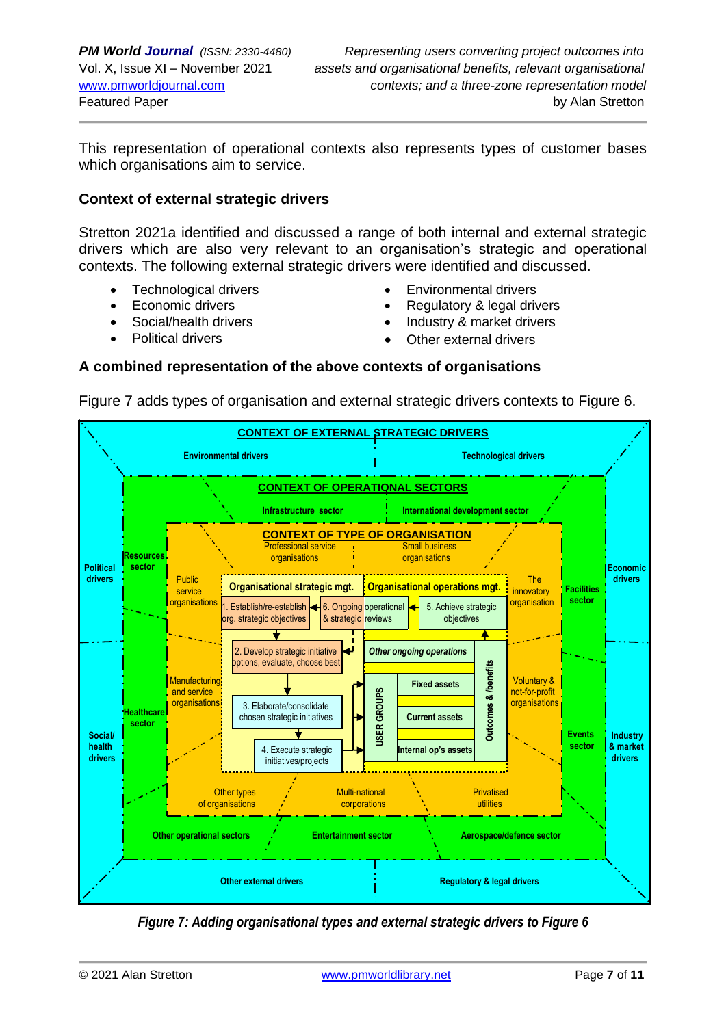This representation of operational contexts also represents types of customer bases which organisations aim to service.

### **Context of external strategic drivers**

Stretton 2021a identified and discussed a range of both internal and external strategic drivers which are also very relevant to an organisation's strategic and operational contexts. The following external strategic drivers were identified and discussed.

- Technological drivers
- Economic drivers
- Social/health drivers
- Political drivers
- Environmental drivers
- Regulatory & legal drivers
- Industry & market drivers
- Other external drivers

#### **A combined representation of the above contexts of organisations**

Figure 7 adds types of organisation and external strategic drivers contexts to Figure 6.



*Figure 7: Adding organisational types and external strategic drivers to Figure 6*

Entertainment Events Disasters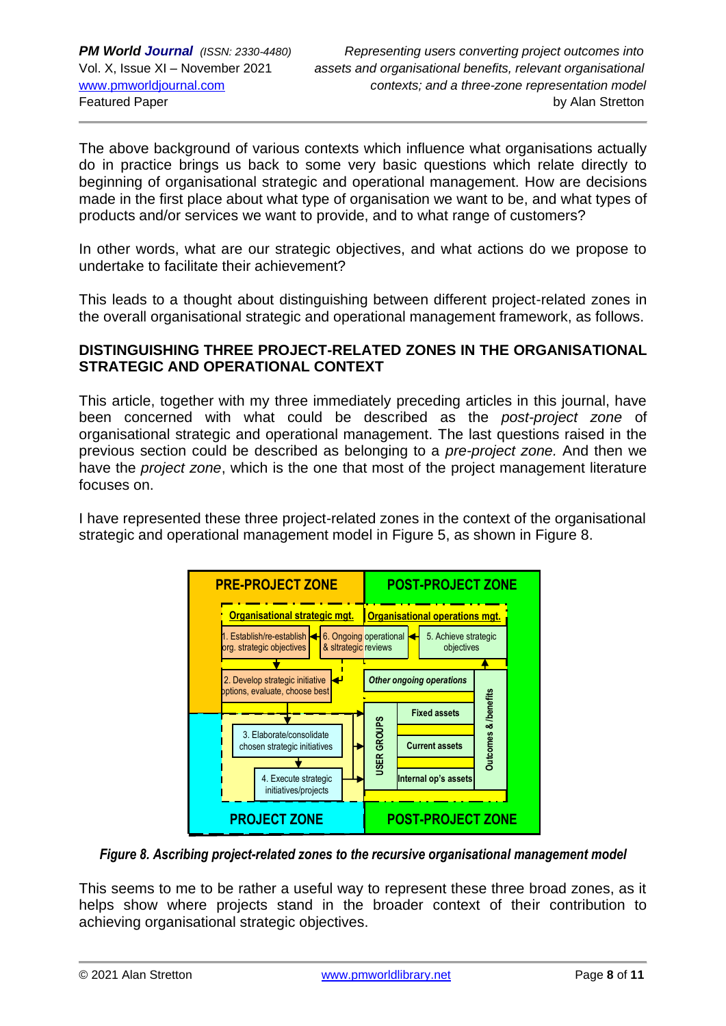The above background of various contexts which influence what organisations actually do in practice brings us back to some very basic questions which relate directly to beginning of organisational strategic and operational management. How are decisions made in the first place about what type of organisation we want to be, and what types of products and/or services we want to provide, and to what range of customers?

In other words, what are our strategic objectives, and what actions do we propose to undertake to facilitate their achievement?

This leads to a thought about distinguishing between different project-related zones in the overall organisational strategic and operational management framework, as follows.

## **DISTINGUISHING THREE PROJECT-RELATED ZONES IN THE ORGANISATIONAL STRATEGIC AND OPERATIONAL CONTEXT**

This article, together with my three immediately preceding articles in this journal, have been concerned with what could be described as the *post-project zone* of organisational strategic and operational management. The last questions raised in the previous section could be described as belonging to a *pre-project zone.* And then we have the *project zone*, which is the one that most of the project management literature focuses on.

I have represented these three project-related zones in the context of the organisational strategic and operational management model in Figure 5, as shown in Figure 8.



*Figure 8. Ascribing project-related zones to the recursive organisational management model*

This seems to me to be rather a useful way to represent these three broad zones, as it helps show where projects stand in the broader context of their contribution to achieving organisational strategic objectives.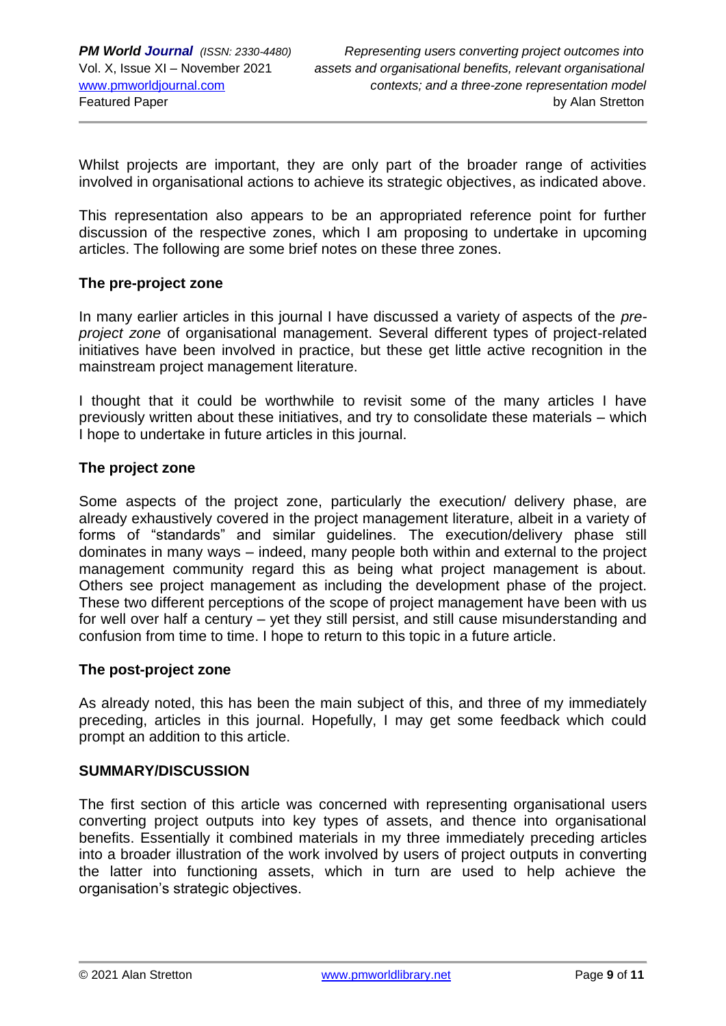Whilst projects are important, they are only part of the broader range of activities involved in organisational actions to achieve its strategic objectives, as indicated above.

This representation also appears to be an appropriated reference point for further discussion of the respective zones, which I am proposing to undertake in upcoming articles. The following are some brief notes on these three zones.

#### **The pre-project zone**

In many earlier articles in this journal I have discussed a variety of aspects of the *preproject zone* of organisational management. Several different types of project-related initiatives have been involved in practice, but these get little active recognition in the mainstream project management literature.

I thought that it could be worthwhile to revisit some of the many articles I have previously written about these initiatives, and try to consolidate these materials – which I hope to undertake in future articles in this journal.

### **The project zone**

Some aspects of the project zone, particularly the execution/ delivery phase, are already exhaustively covered in the project management literature, albeit in a variety of forms of "standards" and similar guidelines. The execution/delivery phase still dominates in many ways – indeed, many people both within and external to the project management community regard this as being what project management is about. Others see project management as including the development phase of the project. These two different perceptions of the scope of project management have been with us for well over half a century – yet they still persist, and still cause misunderstanding and confusion from time to time. I hope to return to this topic in a future article.

#### **The post-project zone**

As already noted, this has been the main subject of this, and three of my immediately preceding, articles in this journal. Hopefully, I may get some feedback which could prompt an addition to this article.

#### **SUMMARY/DISCUSSION**

The first section of this article was concerned with representing organisational users converting project outputs into key types of assets, and thence into organisational benefits. Essentially it combined materials in my three immediately preceding articles into a broader illustration of the work involved by users of project outputs in converting the latter into functioning assets, which in turn are used to help achieve the organisation's strategic objectives.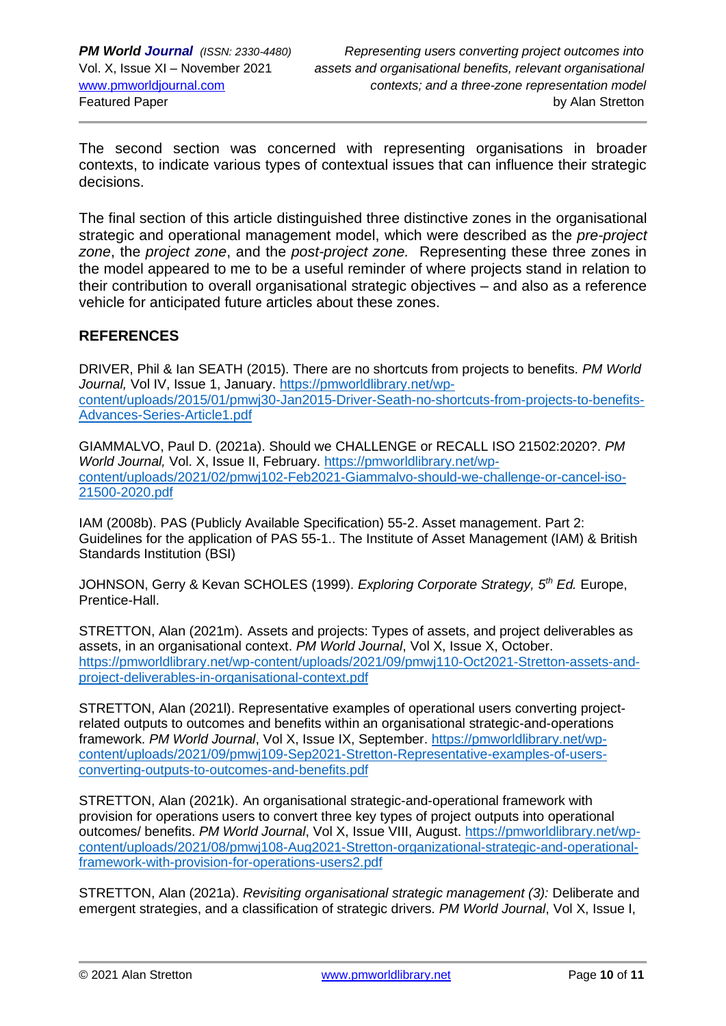The second section was concerned with representing organisations in broader contexts, to indicate various types of contextual issues that can influence their strategic decisions.

The final section of this article distinguished three distinctive zones in the organisational strategic and operational management model, which were described as the *pre-project zone*, the *project zone*, and the *post-project zone.* Representing these three zones in the model appeared to me to be a useful reminder of where projects stand in relation to their contribution to overall organisational strategic objectives – and also as a reference vehicle for anticipated future articles about these zones.

## **REFERENCES**

DRIVER, Phil & Ian SEATH (2015). There are no shortcuts from projects to benefits. *PM World Journal,* Vol IV, Issue 1, January. [https://pmworldlibrary.net/wp](https://pmworldlibrary.net/wp-content/uploads/2015/01/pmwj30-Jan2015-Driver-Seath-no-shortcuts-from-projects-to-benefits-Advances-Series-Article1.pdf)[content/uploads/2015/01/pmwj30-Jan2015-Driver-Seath-no-shortcuts-from-projects-to-benefits-](https://pmworldlibrary.net/wp-content/uploads/2015/01/pmwj30-Jan2015-Driver-Seath-no-shortcuts-from-projects-to-benefits-Advances-Series-Article1.pdf)[Advances-Series-Article1.pdf](https://pmworldlibrary.net/wp-content/uploads/2015/01/pmwj30-Jan2015-Driver-Seath-no-shortcuts-from-projects-to-benefits-Advances-Series-Article1.pdf)

GIAMMALVO, Paul D. (2021a). Should we CHALLENGE or RECALL ISO 21502:2020?. *PM World Journal,* Vol. X, Issue II, February. [https://pmworldlibrary.net/wp](https://pmworldlibrary.net/wp-content/uploads/2021/02/pmwj102-Feb2021-Giammalvo-should-we-challenge-or-cancel-iso-21500-2020.pdf)[content/uploads/2021/02/pmwj102-Feb2021-Giammalvo-should-we-challenge-or-cancel-iso-](https://pmworldlibrary.net/wp-content/uploads/2021/02/pmwj102-Feb2021-Giammalvo-should-we-challenge-or-cancel-iso-21500-2020.pdf)[21500-2020.pdf](https://pmworldlibrary.net/wp-content/uploads/2021/02/pmwj102-Feb2021-Giammalvo-should-we-challenge-or-cancel-iso-21500-2020.pdf)

IAM (2008b). PAS (Publicly Available Specification) 55-2. Asset management. Part 2: Guidelines for the application of PAS 55-1.. The Institute of Asset Management (IAM) & British Standards Institution (BSI)

JOHNSON, Gerry & Kevan SCHOLES (1999). *Exploring Corporate Strategy, 5th Ed.* Europe, Prentice-Hall.

STRETTON, Alan (2021m). Assets and projects: Types of assets, and project deliverables as assets, in an organisational context. *PM World Journal*, Vol X, Issue X, October. [https://pmworldlibrary.net/wp-content/uploads/2021/09/pmwj110-Oct2021-Stretton-assets-and](https://pmworldlibrary.net/wp-content/uploads/2021/09/pmwj110-Oct2021-Stretton-assets-and-project-deliverables-in-organisational-context.pdf)[project-deliverables-in-organisational-context.pdf](https://pmworldlibrary.net/wp-content/uploads/2021/09/pmwj110-Oct2021-Stretton-assets-and-project-deliverables-in-organisational-context.pdf)

STRETTON, Alan (2021l). Representative examples of operational users converting projectrelated outputs to outcomes and benefits within an organisational strategic-and-operations framework. *PM World Journal*, Vol X, Issue IX, September. [https://pmworldlibrary.net/wp](https://pmworldlibrary.net/wp-content/uploads/2021/09/pmwj109-Sep2021-Stretton-Representative-examples-of-users-converting-outputs-to-outcomes-and-benefits.pdf)[content/uploads/2021/09/pmwj109-Sep2021-Stretton-Representative-examples-of-users](https://pmworldlibrary.net/wp-content/uploads/2021/09/pmwj109-Sep2021-Stretton-Representative-examples-of-users-converting-outputs-to-outcomes-and-benefits.pdf)[converting-outputs-to-outcomes-and-benefits.pdf](https://pmworldlibrary.net/wp-content/uploads/2021/09/pmwj109-Sep2021-Stretton-Representative-examples-of-users-converting-outputs-to-outcomes-and-benefits.pdf)

STRETTON, Alan (2021k). An organisational strategic-and-operational framework with provision for operations users to convert three key types of project outputs into operational outcomes/ benefits. *PM World Journal*, Vol X, Issue VIII, August. [https://pmworldlibrary.net/wp](https://pmworldlibrary.net/wp-content/uploads/2021/08/pmwj108-Aug2021-Stretton-organizational-strategic-and-operational-framework-with-provision-for-operations-users2.pdf)[content/uploads/2021/08/pmwj108-Aug2021-Stretton-organizational-strategic-and-operational](https://pmworldlibrary.net/wp-content/uploads/2021/08/pmwj108-Aug2021-Stretton-organizational-strategic-and-operational-framework-with-provision-for-operations-users2.pdf)[framework-with-provision-for-operations-users2.pdf](https://pmworldlibrary.net/wp-content/uploads/2021/08/pmwj108-Aug2021-Stretton-organizational-strategic-and-operational-framework-with-provision-for-operations-users2.pdf)

STRETTON, Alan (2021a). *Revisiting organisational strategic management (3):* Deliberate and emergent strategies, and a classification of strategic drivers. *PM World Journal*, Vol X, Issue I,